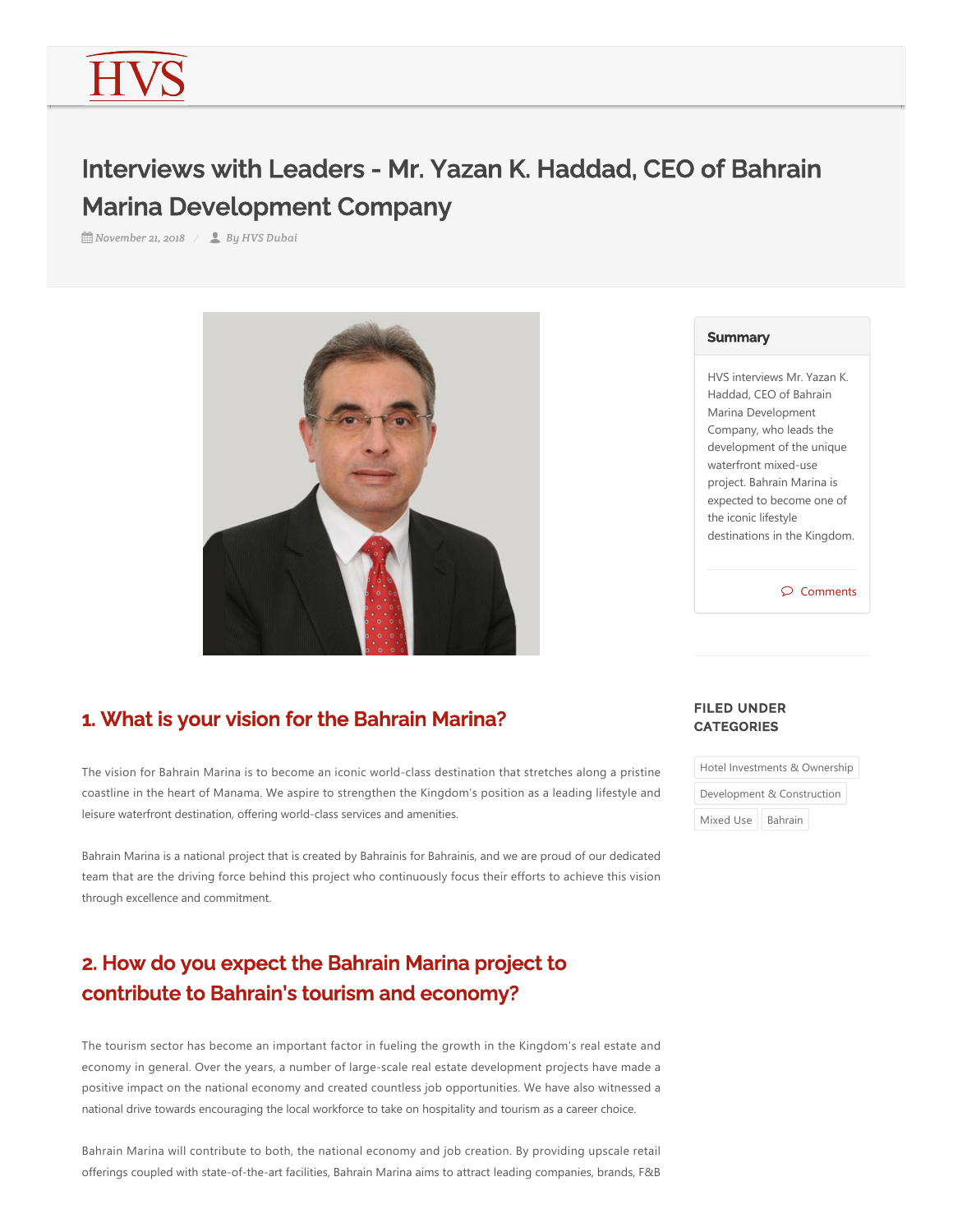# Interviews with Leaders - Mr. Yazan K. Haddad, CEO of Bahrain Marina Development Company

*November 21, 2018 By HVS Dubai*



## 1. What is your vision for the Bahrain Marina?

The vision for Bahrain Marina is to become an iconic world‐class destination that stretches along a pristine coastline in the heart of Manama. We aspire to strengthen the Kingdom's position as a leading lifestyle and leisure waterfront destination, offering world‐class services and amenities.

Bahrain Marina is a national project that is created by Bahrainis for Bahrainis, and we are proud of our dedicated team that are the driving force behind this project who continuously focus their efforts to achieve this vision through excellence and commitment.

# 2. How do you expect the Bahrain Marina project to contribute to Bahrain's tourism and economy?

The tourism sector has become an important factor in fueling the growth in the Kingdom's real estate and economy in general. Over the years, a number of large-scale real estate development projects have made a positive impact on the national economy and created countless job opportunities. We have also witnessed a national drive towards encouraging the local workforce to take on hospitality and tourism as a career choice.

Bahrain Marina will contribute to both, the national economy and job creation. By providing upscale retail offerings coupled with state‐of‐the‐art facilities, Bahrain Marina aims to attract leading companies, brands, F&B

#### **Summary**

HVS interviews Mr. Yazan K. Haddad, CEO of Bahrain Marina Development Company, who leads the development of the unique waterfront mixed‐use project. Bahrain Marina is expected to become one of the iconic lifestyle destinations in the Kingdom.

#### $\wp$  Comments

#### FILED UNDER **CATEGORIES**

| Hotel Investments & Ownership |                |
|-------------------------------|----------------|
| Development & Construction    |                |
| Mixed Use                     | <b>Bahrain</b> |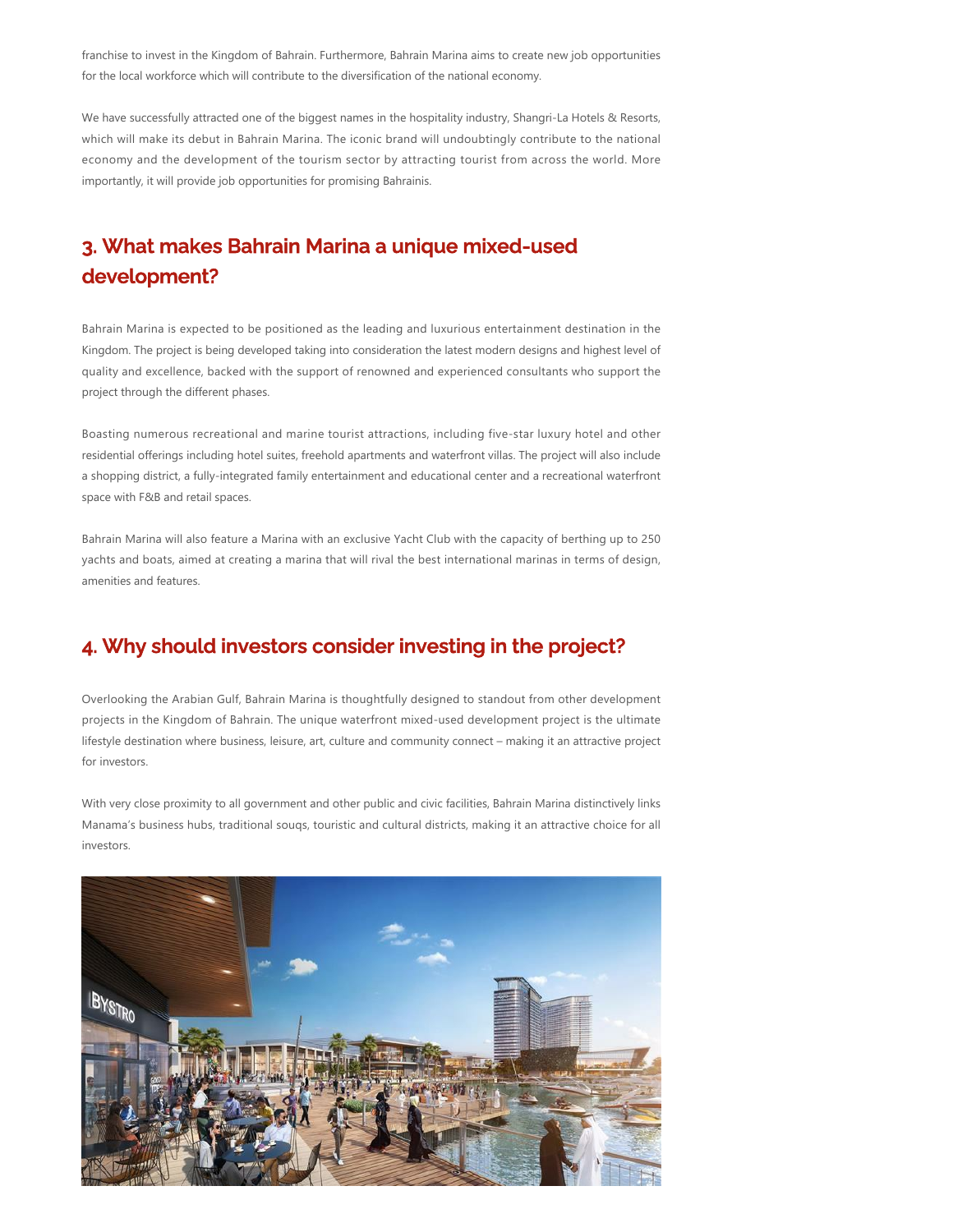franchise to invest in the Kingdom of Bahrain. Furthermore, Bahrain Marina aims to create new job opportunities for the local workforce which will contribute to the diversification of the national economy.

We have successfully attracted one of the biggest names in the hospitality industry, Shangri‐La Hotels & Resorts, which will make its debut in Bahrain Marina. The iconic brand will undoubtingly contribute to the national economy and the development of the tourism sector by attracting tourist from across the world. More importantly, it will provide job opportunities for promising Bahrainis.

## 3. What makes Bahrain Marina a unique mixed-used development?

Bahrain Marina is expected to be positioned as the leading and luxurious entertainment destination in the Kingdom. The project is being developed taking into consideration the latest modern designs and highest level of quality and excellence, backed with the support of renowned and experienced consultants who support the project through the different phases.

Boasting numerous recreational and marine tourist attractions, including five‐star luxury hotel and other residential offerings including hotel suites, freehold apartments and waterfront villas. The project will also include a shopping district, a fully‐integrated family entertainment and educational center and a recreational waterfront space with F&B and retail spaces.

Bahrain Marina will also feature a Marina with an exclusive Yacht Club with the capacity of berthing up to 250 yachts and boats, aimed at creating a marina that will rival the best international marinas in terms of design, amenities and features.

### 4. Why should investors consider investing in the project?

Overlooking the Arabian Gulf, Bahrain Marina is thoughtfully designed to standout from other development projects in the Kingdom of Bahrain. The unique waterfront mixed‐used development project is the ultimate lifestyle destination where business, leisure, art, culture and community connect – making it an attractive project for investors.

With very close proximity to all government and other public and civic facilities, Bahrain Marina distinctively links Manama's business hubs, traditional souqs, touristic and cultural districts, making it an attractive choice for all investors.